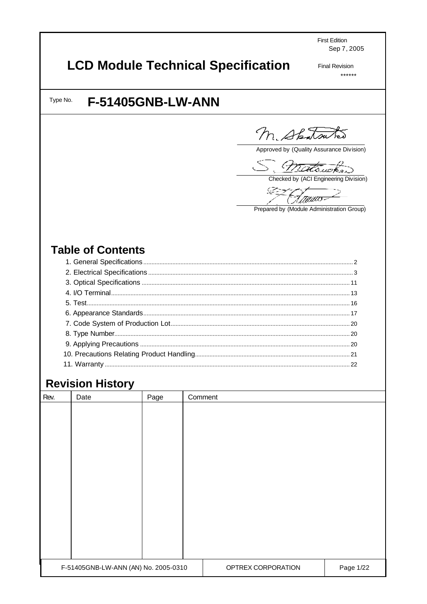**First Edition** Sep 7, 2005

# **LCD Module Technical Specification**

**Final Revision**  $******$ 

Type No.

# **F-51405GNB-LW-ANN**

M. Shatsutes

Approved by (Quality Assurance Division)

S. Mittawker

Checked by (ACI Engineering Division)

EZ Hawa<del>s</del>

Prepared by (Module Administration Group)

# **Table of Contents**

# **Revision History**

| Rev. | Date                                 | Page | Comment |                    |           |
|------|--------------------------------------|------|---------|--------------------|-----------|
|      |                                      |      |         |                    |           |
|      |                                      |      |         |                    |           |
|      |                                      |      |         |                    |           |
|      |                                      |      |         |                    |           |
|      |                                      |      |         |                    |           |
|      |                                      |      |         |                    |           |
|      |                                      |      |         |                    |           |
|      |                                      |      |         |                    |           |
|      |                                      |      |         |                    |           |
|      |                                      |      |         |                    |           |
|      |                                      |      |         |                    |           |
|      |                                      |      |         |                    |           |
|      |                                      |      |         |                    |           |
|      | F-51405GNB-LW-ANN (AN) No. 2005-0310 |      |         | OPTREX CORPORATION | Page 1/22 |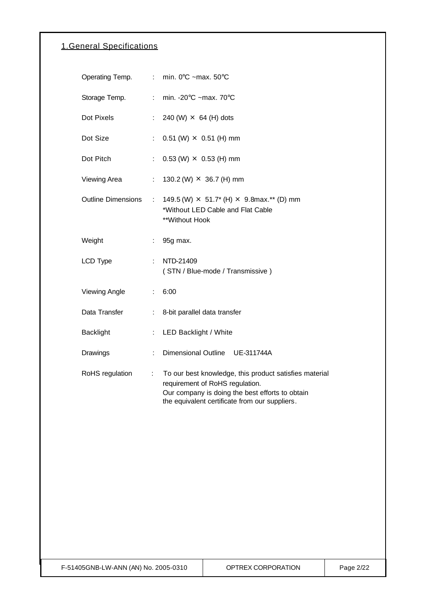## 1.General Specifications

| Operating Temp.           |    | min. $0^{\circ}$ C ~max. 50 $^{\circ}$ C                                                                                                                                                       |
|---------------------------|----|------------------------------------------------------------------------------------------------------------------------------------------------------------------------------------------------|
| Storage Temp.             | ÷. | min. - $20^{\circ}$ C ~max. 70 $^{\circ}$ C                                                                                                                                                    |
| Dot Pixels                | ÷. | 240 (W) $\times$ 64 (H) dots                                                                                                                                                                   |
| Dot Size                  | ÷. | $0.51$ (W) $\times$ 0.51 (H) mm                                                                                                                                                                |
| Dot Pitch                 | ÷  | $0.53$ (W) $\times$ 0.53 (H) mm                                                                                                                                                                |
| Viewing Area              | ÷. | 130.2 (W) $\times$ 36.7 (H) mm                                                                                                                                                                 |
| <b>Outline Dimensions</b> | ÷. | 149.5 (W) $\times$ 51.7* (H) $\times$ 9.8max.** (D) mm<br>*Without LED Cable and Flat Cable<br>**Without Hook                                                                                  |
| Weight                    |    | 95g max.                                                                                                                                                                                       |
| LCD Type                  | ÷. | NTD-21409<br>(STN / Blue-mode / Transmissive)                                                                                                                                                  |
| <b>Viewing Angle</b>      | ÷. | 6:00                                                                                                                                                                                           |
| Data Transfer             | ÷  | 8-bit parallel data transfer                                                                                                                                                                   |
| <b>Backlight</b>          | ÷. | LED Backlight / White                                                                                                                                                                          |
| Drawings                  | ÷  | Dimensional Outline UE-311744A                                                                                                                                                                 |
| RoHS regulation           | ÷. | To our best knowledge, this product satisfies material<br>requirement of RoHS regulation.<br>Our company is doing the best efforts to obtain<br>the equivalent certificate from our suppliers. |
|                           |    |                                                                                                                                                                                                |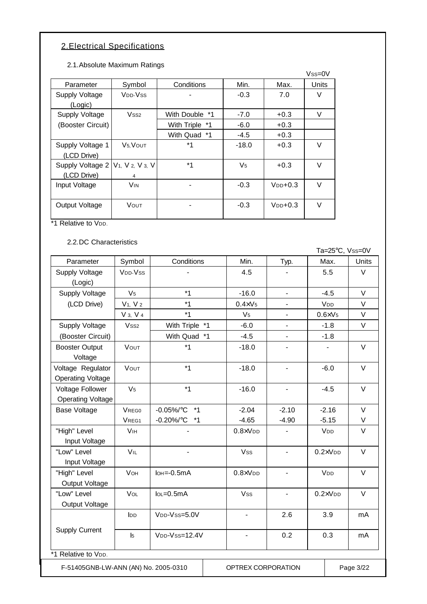# 2.Electrical Specifications

2.1.Absolute Maximum Ratings

|                       |                                                      |                |                |              | $Vss=0V$ |
|-----------------------|------------------------------------------------------|----------------|----------------|--------------|----------|
| Parameter             | Symbol                                               | Conditions     | Min.           | Max.         | Units    |
| <b>Supply Voltage</b> | V <sub>DD</sub> -V <sub>SS</sub>                     |                | $-0.3$         | 7.0          | V        |
| (Logic)               |                                                      |                |                |              |          |
| Supply Voltage        | Vss <sub>2</sub>                                     | With Double *1 | $-7.0$         | $+0.3$       | V        |
| (Booster Circuit)     |                                                      | With Triple *1 | $-6.0$         | $+0.3$       |          |
|                       |                                                      | With Quad *1   | $-4.5$         | $+0.3$       |          |
| Supply Voltage 1      | V <sub>5</sub> , VOUT                                | $*_{1}$        | $-18.0$        | $+0.3$       | $\vee$   |
| (LCD Drive)           |                                                      |                |                |              |          |
| Supply Voltage 2      | V <sub>1</sub> , V <sub>2</sub> , V <sub>3</sub> , V | $*_{1}$        | V <sub>5</sub> | $+0.3$       | $\vee$   |
| (LCD Drive)           | $\overline{4}$                                       |                |                |              |          |
| Input Voltage         | <b>V<sub>IN</sub></b>                                |                | $-0.3$         | $V_{DD}+0.3$ | V        |
|                       |                                                      |                |                |              |          |
| Output Voltage        | VOUT                                                 |                | $-0.3$         | $V_{DD}+0.3$ | V        |
|                       |                                                      |                |                |              |          |

\*1 Relative to V<sub>DD</sub>.

2.2.DC Characteristics

| Parameter<br><b>Supply Voltage</b><br>(Logic)<br><b>Supply Voltage</b><br>(LCD Drive)<br>Supply Voltage<br>(Booster Circuit)<br><b>Booster Output</b><br>Voltage | Symbol                           |                                       |                              |                          |                  | Ta=25°C, Vss=0V |
|------------------------------------------------------------------------------------------------------------------------------------------------------------------|----------------------------------|---------------------------------------|------------------------------|--------------------------|------------------|-----------------|
|                                                                                                                                                                  |                                  | Conditions                            | Min.                         | Typ.                     | Max.             | <b>Units</b>    |
|                                                                                                                                                                  | V <sub>DD</sub> -V <sub>ss</sub> |                                       | 4.5                          |                          | 5.5              | $\vee$          |
|                                                                                                                                                                  |                                  |                                       |                              |                          |                  |                 |
|                                                                                                                                                                  | V <sub>5</sub>                   | $*1$                                  | $-16.0$                      | $\overline{a}$           | $-4.5$           | $\vee$          |
|                                                                                                                                                                  | V <sub>1</sub> , V <sub>2</sub>  | $*1$                                  | $0.4 \times V_5$             | $\overline{a}$           | V <sub>DD</sub>  | $\vee$          |
|                                                                                                                                                                  | V 3, V 4                         | $*1$                                  | V <sub>5</sub>               |                          | $0.6 \times V_5$ | $\vee$          |
|                                                                                                                                                                  | Vss <sub>2</sub>                 | With Triple *1                        | $-6.0$                       | $\overline{\phantom{a}}$ | $-1.8$           | $\vee$          |
|                                                                                                                                                                  |                                  | With Quad<br>$*_{1}$                  | $-4.5$                       |                          | $-1.8$           |                 |
|                                                                                                                                                                  | VOUT                             | $*1$                                  | $-18.0$                      | $\frac{1}{2}$            | $\blacksquare$   | $\vee$          |
|                                                                                                                                                                  |                                  |                                       |                              |                          |                  |                 |
| Voltage Regulator                                                                                                                                                | VOUT                             | $*1$                                  | $-18.0$                      | $\overline{\phantom{a}}$ | $-6.0$           | $\vee$          |
| <b>Operating Voltage</b>                                                                                                                                         |                                  |                                       |                              |                          |                  |                 |
| Voltage Follower                                                                                                                                                 | V <sub>5</sub>                   | $*1$                                  | $-16.0$                      | $\overline{\phantom{0}}$ | $-4.5$           | $\vee$          |
| <b>Operating Voltage</b>                                                                                                                                         |                                  |                                       |                              |                          |                  |                 |
| <b>Base Voltage</b>                                                                                                                                              | VREG0                            | $-0.05\%$ /°C<br>$*1$                 | $-2.04$                      | $-2.10$                  | $-2.16$          | $\vee$          |
|                                                                                                                                                                  | VREG1                            | $-0.20\%$ /°C<br>$^*1$                | $-4.65$                      | $-4.90$                  | $-5.15$          | V               |
| "High" Level                                                                                                                                                     | <b>V<sub>IH</sub></b>            |                                       | $0.8 \times V$ DD            |                          | V <sub>DD</sub>  | $\vee$          |
| Input Voltage                                                                                                                                                    |                                  |                                       |                              |                          |                  |                 |
| "Low" Level                                                                                                                                                      | <b>VIL</b>                       | $\overline{\phantom{a}}$              | <b>Vss</b>                   | $\blacksquare$           | $0.2 \times VDD$ | $\vee$          |
| Input Voltage                                                                                                                                                    |                                  |                                       |                              |                          |                  |                 |
| "High" Level                                                                                                                                                     | VOH                              | $I$ <sub>OH</sub> $=$ -0.5mA          | $0.8 \times V$ <sub>DD</sub> | $\overline{a}$           | V <sub>DD</sub>  | $\vee$          |
| Output Voltage                                                                                                                                                   |                                  |                                       |                              |                          |                  |                 |
| "Low" Level                                                                                                                                                      | VOL                              | $IoL = 0.5mA$                         | <b>Vss</b>                   | $\blacksquare$           | $0.2 \times VDD$ | $\vee$          |
| Output Voltage                                                                                                                                                   |                                  |                                       |                              |                          |                  |                 |
|                                                                                                                                                                  | lpp                              | V <sub>DD</sub> -V <sub>ss=5.0V</sub> | $\overline{a}$               | 2.6                      | 3.9              | mA              |
| <b>Supply Current</b>                                                                                                                                            |                                  |                                       |                              |                          |                  |                 |
| V <sub>DD</sub> -V <sub>ss=12.4V</sub><br>$\mathsf{I}^2$                                                                                                         |                                  | $\overline{a}$                        | 0.2                          | 0.3                      | mA               |                 |
|                                                                                                                                                                  |                                  |                                       |                              |                          |                  |                 |
| *1 Relative to VDD.                                                                                                                                              |                                  |                                       |                              |                          |                  |                 |
| F-51405GNB-LW-ANN (AN) No. 2005-0310                                                                                                                             |                                  |                                       |                              |                          |                  |                 |

 $T_2$   $250^\circ$ ,  $V_{25}$ ,  $0.1^\circ$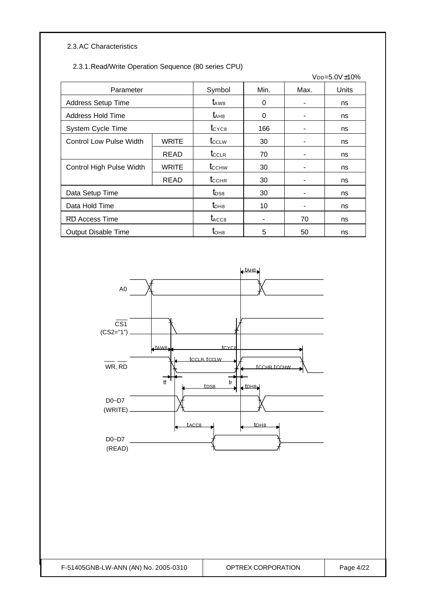#### 2.3.AC Characteristics

#### 2.3.1.Read/Write Operation Sequence (80 series CPU)

|                                |              |                                       |      |      | $V_{DD} = 5.0 V \pm 10\%$ |
|--------------------------------|--------------|---------------------------------------|------|------|---------------------------|
| Parameter                      |              | Symbol                                | Min. | Max. | <b>Units</b>              |
| <b>Address Setup Time</b>      |              | $t_{\rm AW8}$                         | 0    | ۰    | ns                        |
| <b>Address Hold Time</b>       |              | $t_{AHB}$                             | 0    |      | ns                        |
| System Cycle Time              |              | $t_{\rm CYC8}$                        | 166  |      | ns                        |
| <b>Control Low Pulse Width</b> | <b>WRITE</b> | $t_{\scriptscriptstyle{\text{CCLW}}}$ | 30   |      | ns                        |
|                                | READ         | $t_{\scriptstyle{\text{CCLR}}}$       | 70   |      | ns                        |
| Control High Pulse Width       | <b>WRITE</b> | t <sub>cchw</sub>                     | 30   |      | ns                        |
|                                | <b>READ</b>  | $t_{CCHR}$                            | 30   |      | ns                        |
| Data Setup Time                |              | $t_{DS8}$                             | 30   | -    | ns                        |
| Data Hold Time                 |              | $t_{DHB}$                             | 10   |      | ns                        |
| RD Access Time                 |              | $t_{\rm ACC8}$                        |      | 70   | ns                        |
| <b>Output Disable Time</b>     |              | $t_{OHB}$                             | 5    | 50   | ns                        |

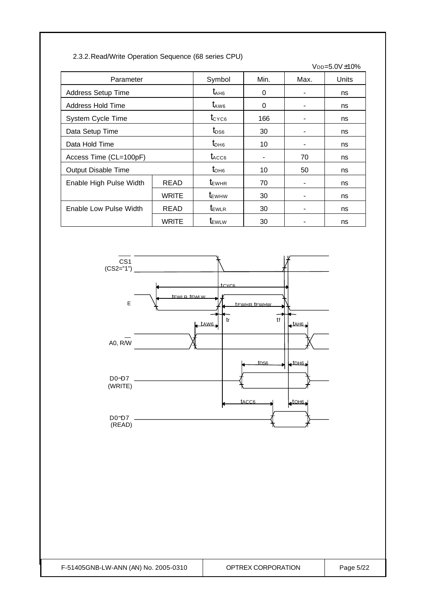| 2.3.2. Read/Write Operation Sequence (68 series CPU) |  |  |  |
|------------------------------------------------------|--|--|--|
|                                                      |  |  |  |

| VDD=5.0V±10%              |              |                                  |          |      |       |
|---------------------------|--------------|----------------------------------|----------|------|-------|
| Parameter                 |              | Symbol                           | Min.     | Max. | Units |
| <b>Address Setup Time</b> |              | $t_{AHB}$                        | 0        |      | ns    |
| Address Hold Time         |              | $t_{\rm AW6}$                    | $\Omega$ |      | ns    |
| System Cycle Time         |              | $t_{\text{CYC6}}$                | 166      |      | ns    |
| Data Setup Time           |              | $t_{DS6}$                        | 30       |      | ns    |
| Data Hold Time            |              | $t_{\text{DH6}}$                 | 10       |      | ns    |
| Access Time (CL=100pF)    |              | $t_{\text{ACCG}}$                |          | 70   | ns    |
| Output Disable Time       |              | $t_{OHB}$                        | 10       | 50   | ns    |
| Enable High Pulse Width   | <b>READ</b>  | $t_{\text{EWHR}}$                | 70       |      | ns    |
|                           | <b>WRITE</b> | $t_{\scriptscriptstyle\rm EWHW}$ | 30       |      | ns    |
| Enable Low Pulse Width    | <b>READ</b>  | $t_{\text{EWLR}}$                | 30       |      | ns    |
|                           | <b>WRITE</b> | <b>TEWLW</b>                     | 30       |      | ns    |

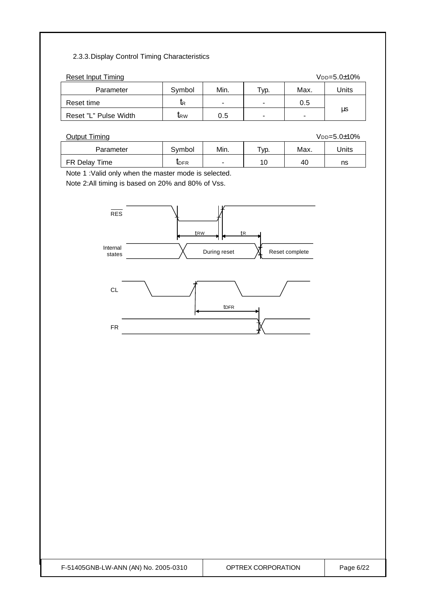#### 2.3.3.Display Control Timing Characteristics

| <b>Reset Input Timing</b><br>$V_{DD=5.0\pm10\%}$ |                 |      |                          |      |       |  |  |
|--------------------------------------------------|-----------------|------|--------------------------|------|-------|--|--|
| Parameter                                        | Symbol          | Min. | ™ур.                     | Max. | Units |  |  |
| Reset time                                       | lR              | ۰    | $\overline{\phantom{0}}$ | 0.5  |       |  |  |
| Reset "L" Pulse Width                            | $\mathbf{I}$ RW | 0.5  | $\overline{\phantom{a}}$ |      | μs    |  |  |

| <b>Output Timing</b><br>$V_{DD=5.0\pm10\%}$ |              |                          |                      |      |       |  |
|---------------------------------------------|--------------|--------------------------|----------------------|------|-------|--|
| Parameter                                   | Svmbol       | Min.                     | $\tau_{\text{VD}}$ . | Max. | Jnits |  |
| FR Delay Time                               | <b>I</b> DFR | $\overline{\phantom{0}}$ | 10                   | 40   | ns    |  |

Note 1 :Valid only when the master mode is selected.

Note 2:All timing is based on 20% and 80% of Vss.

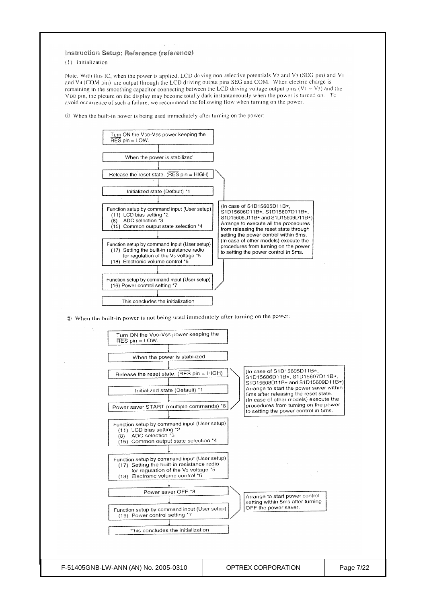#### Instruction Setup: Reference (reference)

(1) Initialization

Note: With this IC, when the power is applied, LCD driving non-selective potentials V2 and V3 (SEG pin) and V1 and V4 (COM pin) are output through the LCD driving output pins SEG and COM. When electric charge is remaining in the smoothing capacitor connecting between the LCD driving voltage output pins  $(V_1 \sim V_2)$  and the VDD pin, the picture on the display may become totally dark instantaneously when the power is turned on. To avoid occurrence of such a failure, we recommend the following flow when turning on the power.

1 When the built-in power is being used immediately after turning on the power:

Turn ON the VDD-Vss power keeping the<br>RES pin = LOW. When the power is stabilized Release the reset state. (RES pin = HIGH) Initialized state (Default) \*1 (In case of S1D15605D11B\*, Function setup by command input (User setup) S1D15606D11B\*, S1D15607D11B\*, (11) LCD bias setting \*2<br>(8) ADC selection \*3 S1D15608D11B\* and S1D15609D11B\* Arrange to execute all the procedures  $(15)$  Common output state selection \*4 from releasing the reset state through setting the power control within 5ms. (In case of other models) execute the Function setup by command input (User setup) procedures from turning on the power (17) Setting the built-in resistance radio to setting the power control in 5ms. for regulation of the Vs voltage \*5 (18) Electronic volume control \*6 Function setup by command input (User setup) (16) Power control setting \*7 This concludes the initialization 12 When the built-in power is not being used immediately after turning on the power: Turn ON the Voo-Vss power keeping the  $RES$  pin = LOW. When the power is stabilized (In case of S1D15605D11B\* Release the reset state. (RES pin = HIGH) S1D15606D11B\*, S1D15607D11B\*  $S1D15608D11B*$  and S1D15609D11B\* Arrange to start the power saver within Initialized state (Default) \*1 5ms after releasing the reset state. (In case of other models) execute the procedures from turning on the power Power saver START (multiple commands) \*8 to setting the power control in 5ms. Function setup by command input (User setup) (11) LCD bias setting \*2<br>(8) ADC selection \*3 (15) Common output state selection \*4 Function setup by command input (User setup) (17) Setting the built-in resistance radio<br>for regulation of the Vs voltage \*5 (18) Electronic volume control \*6 Power saver OFF \*8 Arrange to start power control setting within 5ms after turning Function setup by command input (User setup)<br>(16) Power control setting \*7 OFF the power saver. This concludes the initialization F-51405GNB-LW-ANN (AN) No. 2005-0310 OPTREX CORPORATION Page 7/22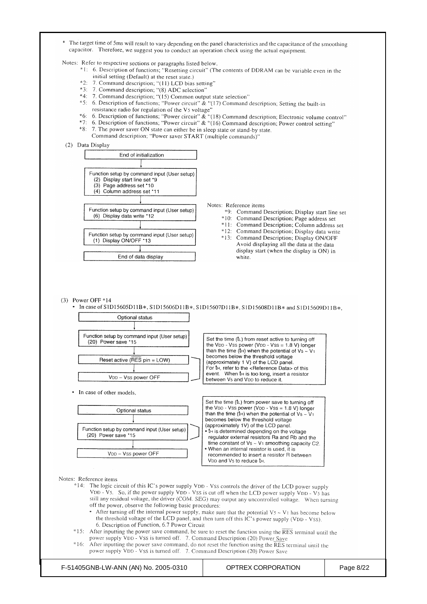\* The target time of 5ms will result to vary depending on the panel characteristics and the capacitance of the smoothing capacitor. Therefore, we suggest you to conduct an operation check using the actual equipment.

Notes: Refer to respective sections or paragraphs listed below.

- \*1: 6. Description of functions; "Resetting circuit" (The contents of DDRAM can be variable even in the initial setting (Default) at the reset state.)
- \*2: 7. Command description; "(11) LCD bias setting"
- \*3: 7. Command description; "(8) ADC selection"
- \*4: 7. Command description; "(15) Common output state selection"
- \*5: 6. Description of functions; "Power circuit" & "(17) Command description; Setting the built-in resistance radio for regulation of the Vs voltage'
- 

\*9: Command Description; Display start line set

\*10: Command Description; Page address set \*11: Command Description; Column address set \*12: Command Description; Display data write

\*13: Command Description; Display ON/OFF Avoid displaying all the data at the data display start (when the display is ON) in

white

- <sup>2</sup>6: 6. Description of functions; "Power circuit" & "(18) Command description; Electronic volume control"<br><sup>26</sup>: 6. Description of functions; "Power circuit" & "(18) Command description; Power control setting" 7. The power saver ON state can either be in sleep state or stand-by state.
- Command description; "Power saver START (multiple commands)"





- After turning off the internal power supply, make sure that the potential  $V_5 \sim V_1$  has become below the threshold voltage of the LCD panel, and then turn off this IC's power supply (VDD - Vss). 6. Description of Function, 6.7 Power Circuit
- \*15: After inputting the power save command, be sure to reset the function using the RES terminal until the power supply VDD - VSS is turned off. 7. Command Description (20) Power Save
- After inputting the power save command, do not reset the function using the RES terminal until the  $*16.$ power supply VDD - Vss is turned off. 7. Command Description (20) Power Save

F-51405GNB-LW-ANN (AN) No. 2005-0310 OPTREX CORPORATION Page 8/22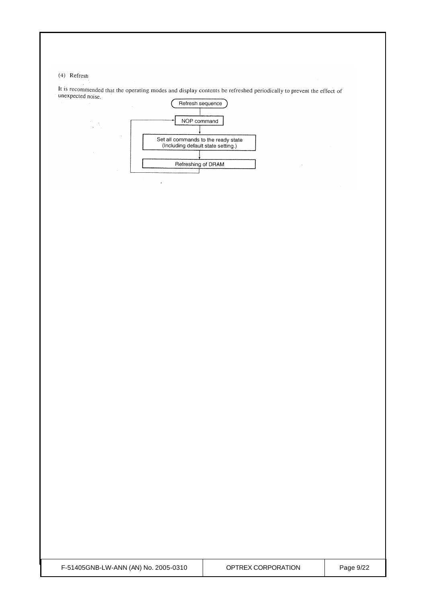(4) Refresh

 $\frac{1}{2}$ 

It is recommended that the operating modes and display contents be refreshed periodically to prevent the effect of unexpected noise.



 $\sim$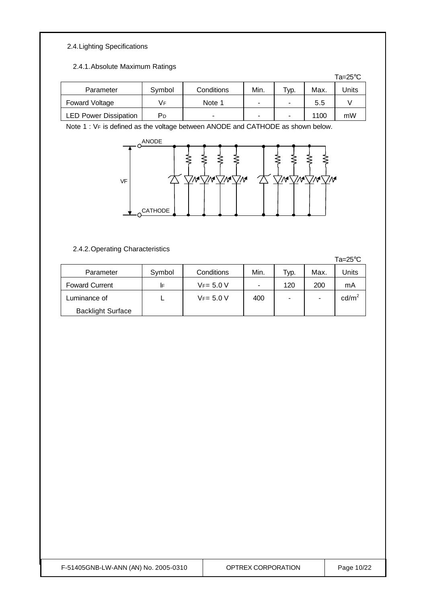### 2.4.Lighting Specifications

#### 2.4.1.Absolute Maximum Ratings

|                              |        |            |                |      |      | Ta=25°C |
|------------------------------|--------|------------|----------------|------|------|---------|
| Parameter                    | Symbol | Conditions | Min.           | Тур. | Max. | Jnits   |
| Foward Voltage               | Vғ     | Note 1     | $\blacksquare$ |      | 5.5  |         |
| <b>LED Power Dissipation</b> | PD     | -          | $\blacksquare$ | ۰    | 1100 | mW      |

Note 1 : VF is defined as the voltage between ANODE and CATHODE as shown below.



## 2.4.2.Operating Characteristics

|                          |        |              |                          |      |      | ⊺a=z5°∪         |
|--------------------------|--------|--------------|--------------------------|------|------|-----------------|
| Parameter                | Symbol | Conditions   | Min.                     | Typ. | Max. | Jnits           |
| <b>Foward Current</b>    | IF     | $VF = 5.0 V$ | $\overline{\phantom{a}}$ | 120  | 200  | mA              |
| Luminance of             |        | $VF = 5.0 V$ | 400                      | ۰    | -    | $\text{cd/m}^2$ |
| <b>Backlight Surface</b> |        |              |                          |      |      |                 |

| F-51405GNB-LW-ANN (AN) No. 2005-0310 |  |  |
|--------------------------------------|--|--|
|                                      |  |  |

 $250$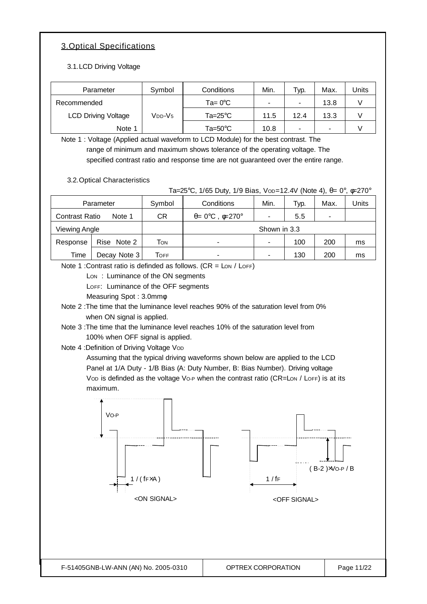## 3.Optical Specifications

3.1.LCD Driving Voltage

| Parameter                  | Symbol              | Conditions         | Min.                     | Typ.                     | Max. | Units |
|----------------------------|---------------------|--------------------|--------------------------|--------------------------|------|-------|
| Recommended                |                     | $Ta = 0^{\circ}C$  | $\overline{\phantom{a}}$ | $\overline{\phantom{a}}$ | 13.8 |       |
| <b>LCD Driving Voltage</b> | V <sub>DD</sub> -V5 | $Ta = 25^{\circ}C$ | 11.5                     | 12.4                     | 13.3 |       |
| Note 1                     |                     | Ta=50 $^{\circ}$ C | 10.8                     | $\overline{\phantom{0}}$ | -    |       |

Note 1 : Voltage (Applied actual waveform to LCD Module) for the best contrast. The range of minimum and maximum shows tolerance of the operating voltage. The specified contrast ratio and response time are not guaranteed over the entire range.

3.2.Optical Characteristics

Ta=25°C, 1/65 Duty, 1/9 Bias, Vop=12.4V (Note 4),  $\theta = 0^\circ$ ,  $\phi = 270^\circ$ 

| Parameter                       |              | Symbol | Conditions                                   | Min.         | Typ. | Max. | Units |
|---------------------------------|--------------|--------|----------------------------------------------|--------------|------|------|-------|
| <b>Contrast Ratio</b><br>Note 1 |              | СR     | $\theta = 0^{\circ}C$ , $\phi = 270^{\circ}$ |              | 5.5  |      |       |
| Viewing Angle                   |              |        |                                              | Shown in 3.3 |      |      |       |
| Response                        | Rise Note 2  | Том    | $\overline{\phantom{0}}$                     |              | 100  | 200  | ms    |
| Time                            | Decay Note 3 | Тоғғ   | ۰                                            |              | 130  | 200  | ms    |

Note 1 : Contrast ratio is definded as follows.  $(CR = \text{Low / LOFF})$ 

Lon: Luminance of the ON segments

LOFF: Luminance of the OFF segments

Measuring Spot : 3.0mmφ

Note 2 :The time that the luminance level reaches 90% of the saturation level from 0% when ON signal is applied.

Note 3 :The time that the luminance level reaches 10% of the saturation level from 100% when OFF signal is applied.

Note 4 : Definition of Driving Voltage Vop

Assuming that the typical driving waveforms shown below are applied to the LCD Panel at 1/A Duty - 1/B Bias (A: Duty Number, B: Bias Number). Driving voltage Vop is definded as the voltage Vo-P when the contrast ratio (CR=Lon / LoFF) is at its maximum.

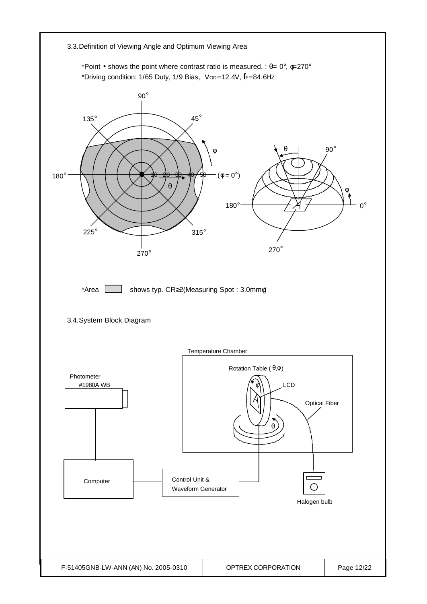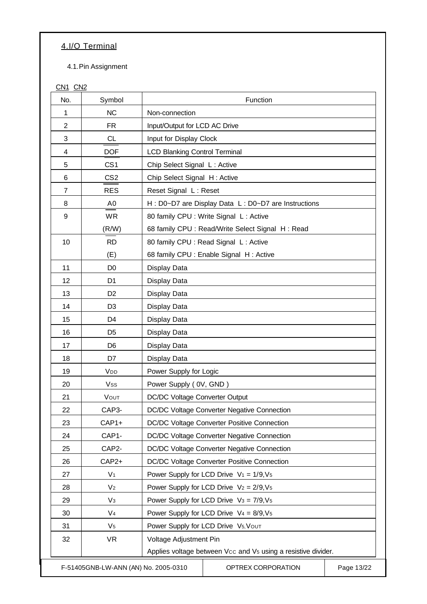# 4.I/O Terminal

4.1.Pin Assignment

CN<sub>1</sub> C<sub>N<sub>2</sub></sub>

| No.            | Symbol                               | Function                             |                                                                           |            |  |  |
|----------------|--------------------------------------|--------------------------------------|---------------------------------------------------------------------------|------------|--|--|
| 1              | <b>NC</b>                            | Non-connection                       |                                                                           |            |  |  |
| $\overline{2}$ | <b>FR</b>                            | Input/Output for LCD AC Drive        |                                                                           |            |  |  |
| 3              | <b>CL</b>                            |                                      | Input for Display Clock                                                   |            |  |  |
| 4              | <b>DOF</b>                           | <b>LCD Blanking Control Terminal</b> |                                                                           |            |  |  |
| 5              | CS <sub>1</sub>                      | Chip Select Signal L: Active         |                                                                           |            |  |  |
| 6              | CS <sub>2</sub>                      | Chip Select Signal H: Active         |                                                                           |            |  |  |
| 7              | <b>RES</b>                           | Reset Signal L: Reset                |                                                                           |            |  |  |
| 8              | A0                                   |                                      | H : D0~D7 are Display Data L : D0~D7 are Instructions                     |            |  |  |
| 9              | <b>WR</b>                            |                                      | 80 family CPU : Write Signal L : Active                                   |            |  |  |
|                | (R/W)                                |                                      | 68 family CPU : Read/Write Select Signal H : Read                         |            |  |  |
| 10             | <b>RD</b>                            |                                      | 80 family CPU : Read Signal L : Active                                    |            |  |  |
|                | (E)                                  |                                      | 68 family CPU : Enable Signal H : Active                                  |            |  |  |
| 11             | D <sub>0</sub>                       | Display Data                         |                                                                           |            |  |  |
| 12             | D <sub>1</sub>                       | Display Data                         |                                                                           |            |  |  |
| 13             | D <sub>2</sub>                       | Display Data                         |                                                                           |            |  |  |
| 14             | D <sub>3</sub>                       | Display Data                         |                                                                           |            |  |  |
| 15             | D <sub>4</sub>                       | Display Data                         |                                                                           |            |  |  |
| 16             | D <sub>5</sub>                       | Display Data                         |                                                                           |            |  |  |
| 17             | D <sub>6</sub>                       | Display Data                         |                                                                           |            |  |  |
| 18             | D7                                   | Display Data                         |                                                                           |            |  |  |
| 19             | V <sub>DD</sub>                      | Power Supply for Logic               |                                                                           |            |  |  |
| 20             | Vss                                  | Power Supply (OV, GND)               |                                                                           |            |  |  |
| 21             | VOUT                                 | DC/DC Voltage Converter Output       |                                                                           |            |  |  |
| 22             | CAP3-                                |                                      | DC/DC Voltage Converter Negative Connection                               |            |  |  |
| 23             | CAP1+                                |                                      | DC/DC Voltage Converter Positive Connection                               |            |  |  |
| 24             | CAP1-                                |                                      | DC/DC Voltage Converter Negative Connection                               |            |  |  |
| 25             | CAP2-                                |                                      | DC/DC Voltage Converter Negative Connection                               |            |  |  |
| 26             | CAP2+                                |                                      | DC/DC Voltage Converter Positive Connection                               |            |  |  |
| 27             | V <sub>1</sub>                       |                                      | Power Supply for LCD Drive $V_1 = 1/9, V_5$                               |            |  |  |
| 28             | V <sub>2</sub>                       |                                      | Power Supply for LCD Drive $V_2 = 2/9, V_5$                               |            |  |  |
| 29             | $V_3$                                |                                      | Power Supply for LCD Drive $V_3 = 7/9, V_5$                               |            |  |  |
| 30             | V <sub>4</sub>                       |                                      | Power Supply for LCD Drive $V_4 = 8/9, V_5$                               |            |  |  |
| 31             | V <sub>5</sub>                       |                                      | Power Supply for LCD Drive V5, VOUT                                       |            |  |  |
| 32             | <b>VR</b>                            | Voltage Adjustment Pin               |                                                                           |            |  |  |
|                |                                      |                                      | Applies voltage between Vcc and V <sub>5</sub> using a resistive divider. |            |  |  |
|                | F-51405GNB-LW-ANN (AN) No. 2005-0310 |                                      | OPTREX CORPORATION                                                        | Page 13/22 |  |  |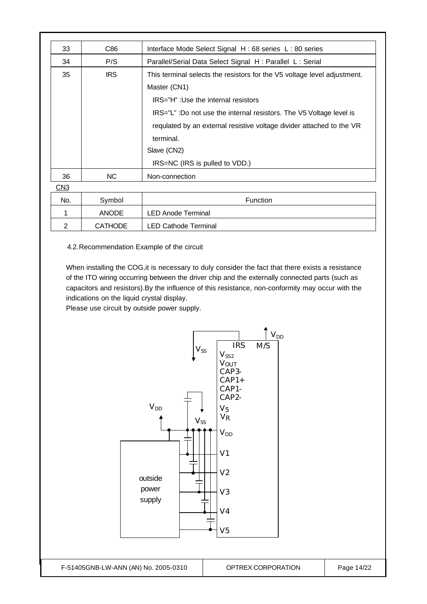| 33             | C86            | Interface Mode Select Signal H: 68 series L: 80 series                                                                                                                                                                                                                                                                                        |  |  |
|----------------|----------------|-----------------------------------------------------------------------------------------------------------------------------------------------------------------------------------------------------------------------------------------------------------------------------------------------------------------------------------------------|--|--|
| 34             | P/S            | Parallel/Serial Data Select Signal H: Parallel L: Serial                                                                                                                                                                                                                                                                                      |  |  |
| 35             | <b>IRS</b>     | This terminal selects the resistors for the V5 voltage level adjustment.<br>Master (CN1)<br>IRS="H": Use the internal resistors<br>IRS="L": Do not use the internal resistors. The V5 Voltage level is<br>requlated by an external resistive voltage divider attached to the VR<br>terminal.<br>Slave (CN2)<br>IRS=NC (IRS is pulled to VDD.) |  |  |
| 36             | NC.            | Non-connection                                                                                                                                                                                                                                                                                                                                |  |  |
| CN3            |                |                                                                                                                                                                                                                                                                                                                                               |  |  |
| No.            | Symbol         | Function                                                                                                                                                                                                                                                                                                                                      |  |  |
| 1              | <b>ANODE</b>   | <b>LED Anode Terminal</b>                                                                                                                                                                                                                                                                                                                     |  |  |
| $\overline{2}$ | <b>CATHODE</b> | LED Cathode Terminal                                                                                                                                                                                                                                                                                                                          |  |  |

4.2.Recommendation Example of the circuit

When installing the COG,it is necessary to duly consider the fact that there exists a resistance of the ITO wiring occurring between the driver chip and the externally connected parts (such as capacitors and resistors).By the influence of this resistance, non-conformity may occur with the indications on the liquid crystal display.

Please use circuit by outside power supply.

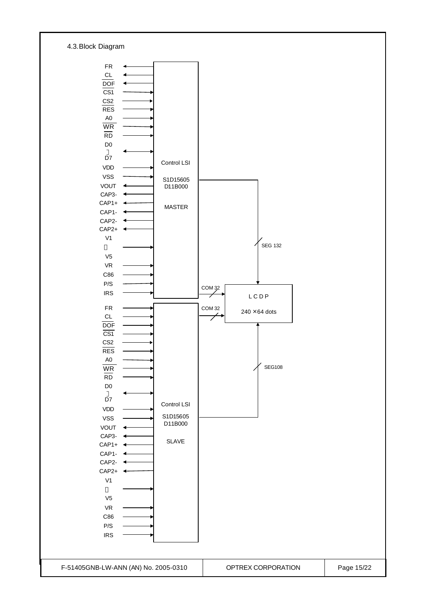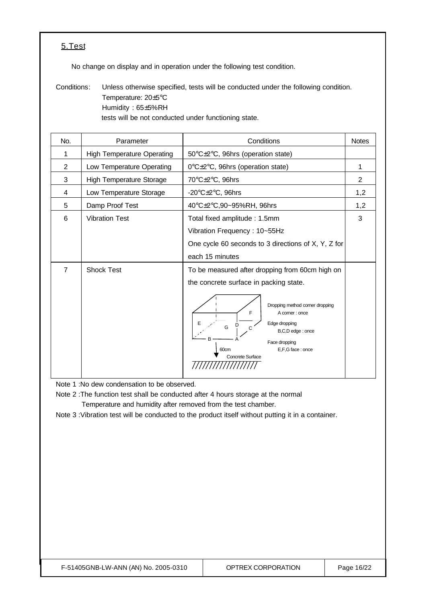### 5.Test

No change on display and in operation under the following test condition.

Conditions: Unless otherwise specified, tests will be conducted under the following condition. Temperature: 20±5°C Humidity : 65±5%RH tests will be not conducted under functioning state.

| No.            | Parameter                         | Conditions                                                                                                                                                                                                                                                            | <b>Notes</b> |
|----------------|-----------------------------------|-----------------------------------------------------------------------------------------------------------------------------------------------------------------------------------------------------------------------------------------------------------------------|--------------|
| 1              | <b>High Temperature Operating</b> | 50°C±2°C, 96hrs (operation state)                                                                                                                                                                                                                                     |              |
| $\overline{2}$ | Low Temperature Operating         | 0°C±2°C, 96hrs (operation state)                                                                                                                                                                                                                                      |              |
| 3              | <b>High Temperature Storage</b>   | 70°C±2°C, 96hrs                                                                                                                                                                                                                                                       | 2            |
| 4              | Low Temperature Storage           | -20 $\textdegree$ C $\pm$ 2 $\textdegree$ C, 96hrs                                                                                                                                                                                                                    | 1,2          |
| 5              | Damp Proof Test                   | 40°C±2°C,90~95%RH, 96hrs                                                                                                                                                                                                                                              | 1,2          |
| 6              | <b>Vibration Test</b>             | Total fixed amplitude: 1.5mm<br>Vibration Frequency: 10~55Hz<br>One cycle 60 seconds to 3 directions of X, Y, Z for<br>each 15 minutes                                                                                                                                |              |
| 7              | <b>Shock Test</b>                 | To be measured after dropping from 60cm high on<br>the concrete surface in packing state.<br>Dropping method corner dropping<br>F<br>A corner : once<br>Edge dropping<br>G<br>C<br>B,C,D edge : once<br>Face dropping<br>E,F,G face: once<br>60cm<br>Concrete Surface |              |

Note 1 :No dew condensation to be observed.

Note 2 :The function test shall be conducted after 4 hours storage at the normal Temperature and humidity after removed from the test chamber.

Note 3 :Vibration test will be conducted to the product itself without putting it in a container.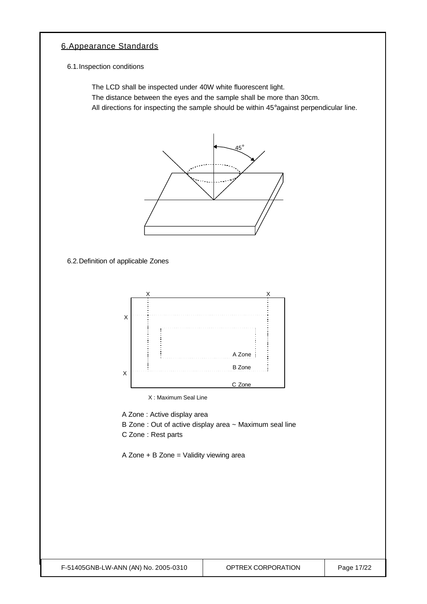### 6.Appearance Standards

6.1.Inspection conditions

The LCD shall be inspected under 40W white fluorescent light.

The distance between the eyes and the sample shall be more than 30cm.

All directions for inspecting the sample should be within 45°against perpendicular line.



6.2.Definition of applicable Zones



X : Maximum Seal Line

A Zone : Active display area

- B Zone : Out of active display area ~ Maximum seal line
- C Zone : Rest parts

A Zone + B Zone = Validity viewing area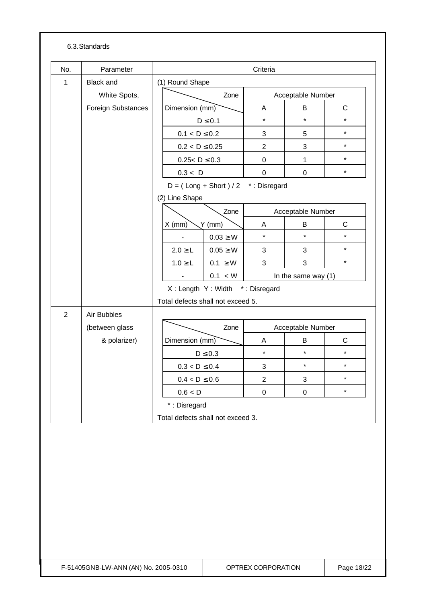#### 6.3.Standards

| No.            | Parameter          |              | Criteria                          |                                       |                   |                       |              |  |
|----------------|--------------------|--------------|-----------------------------------|---------------------------------------|-------------------|-----------------------|--------------|--|
| $\mathbf{1}$   | <b>Black and</b>   |              | (1) Round Shape                   |                                       |                   |                       |              |  |
|                | White Spots,       | Zone         |                                   |                                       | Acceptable Number |                       |              |  |
|                | Foreign Substances |              | Dimension (mm)                    |                                       | Α                 | B                     | $\mathsf C$  |  |
|                |                    |              |                                   | $D \leq 0.1$                          | $\star$           | $\star$               | $\star$      |  |
|                |                    |              | $0.1 < D \le 0.2$                 |                                       | 3                 | 5                     | $\star$      |  |
|                |                    |              | $0.2 < D \le 0.25$                |                                       | $\overline{2}$    | 3                     | $\star$      |  |
|                |                    |              | $0.25 < D \le 0.3$                |                                       | $\pmb{0}$         | $\mathbf{1}$          | $\star$      |  |
|                |                    |              | 0.3 < D                           |                                       | $\mathbf 0$       | $\mathbf 0$           | $\star$      |  |
|                |                    |              |                                   | $D = (Long + Short) / 2$ *: Disregard |                   |                       |              |  |
|                |                    |              | (2) Line Shape                    |                                       |                   |                       |              |  |
|                |                    |              |                                   | Zone                                  |                   | Acceptable Number     |              |  |
|                |                    |              | $X$ (mm)                          | $Y$ (mm)                              | A                 | В                     | $\mathsf{C}$ |  |
|                |                    |              |                                   | $0.03 \geq W$                         | $\star$           | $\star$               | $\star$      |  |
|                |                    |              | $2.0 \ge L$                       | $0.05 \geq W$                         | 3                 | 3                     | $\star$      |  |
|                |                    |              | $1.0 \ge L$                       | $0.1 \geq W$                          | 3                 | 3                     | $\star$      |  |
|                |                    |              | 0.1 < W<br>$\blacksquare$         |                                       |                   | In the same way $(1)$ |              |  |
|                |                    |              |                                   | X: Length Y: Width *: Disregard       |                   |                       |              |  |
|                |                    |              | Total defects shall not exceed 5. |                                       |                   |                       |              |  |
| $\overline{2}$ | Air Bubbles        |              |                                   |                                       |                   |                       |              |  |
|                | (between glass     |              | Zone                              |                                       |                   | Acceptable Number     |              |  |
|                | & polarizer)       |              | Dimension (mm)                    |                                       | A                 | B                     | $\mathsf C$  |  |
|                |                    |              |                                   | $D \leq 0.3$                          | $\star$           | $\star$               | $\star$      |  |
|                |                    |              | $0.3 < D \leq 0.4$                |                                       | 3                 | $\star$               | $\star$      |  |
|                |                    |              | $0.4 < D \leq 0.6$                |                                       | $\boldsymbol{2}$  | 3                     | $\star$      |  |
|                |                    |              | 0.6 < D                           |                                       | 0                 | $\pmb{0}$             | $\star$      |  |
|                |                    | *: Disregard |                                   |                                       |                   |                       |              |  |
|                |                    |              |                                   | Total defects shall not exceed 3.     |                   |                       |              |  |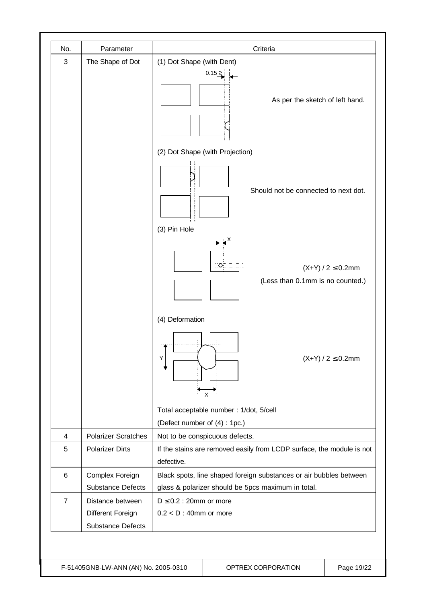| No.            | Parameter                                                         | Criteria                                                                                                                 |
|----------------|-------------------------------------------------------------------|--------------------------------------------------------------------------------------------------------------------------|
| 3              | The Shape of Dot                                                  | (1) Dot Shape (with Dent)<br>0.15 ≥<br>As per the sketch of left hand.                                                   |
|                |                                                                   | (2) Dot Shape (with Projection)                                                                                          |
|                |                                                                   | Should not be connected to next dot.                                                                                     |
|                |                                                                   | (3) Pin Hole<br>$(X+Y)/2 \le 0.2$ mm<br>(Less than 0.1mm is no counted.)                                                 |
|                |                                                                   | (4) Deformation<br>Υ<br>$(X+Y) / 2 \le 0.2$ mm<br>X                                                                      |
|                |                                                                   | Total acceptable number : 1/dot, 5/cell                                                                                  |
|                |                                                                   | (Defect number of (4): 1pc.)                                                                                             |
| 4              | <b>Polarizer Scratches</b>                                        | Not to be conspicuous defects.                                                                                           |
| 5              | <b>Polarizer Dirts</b>                                            | If the stains are removed easily from LCDP surface, the module is not<br>defective.                                      |
| $\,6$          | Complex Foreign<br><b>Substance Defects</b>                       | Black spots, line shaped foreign substances or air bubbles between<br>glass & polarizer should be 5pcs maximum in total. |
| $\overline{7}$ | Distance between<br>Different Foreign<br><b>Substance Defects</b> | $D \le 0.2$ : 20mm or more<br>$0.2 < D$ : 40mm or more                                                                   |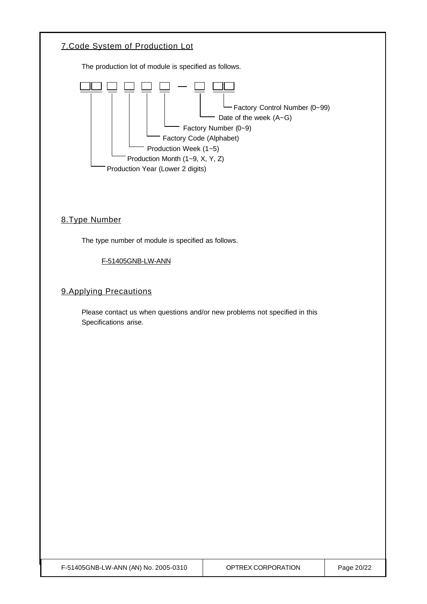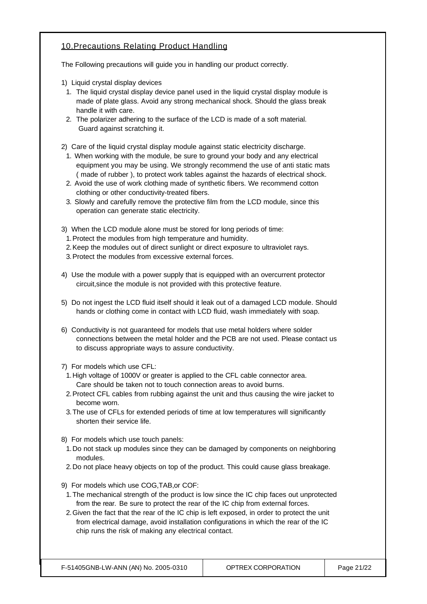#### 10.Precautions Relating Product Handling

The Following precautions will guide you in handling our product correctly.

- 1) Liquid crystal display devices
- 1. The liquid crystal display device panel used in the liquid crystal display module is made of plate glass. Avoid any strong mechanical shock. Should the glass break handle it with care.
- 2. The polarizer adhering to the surface of the LCD is made of a soft material. Guard against scratching it.
- 2) Care of the liquid crystal display module against static electricity discharge.
	- 1. When working with the module, be sure to ground your body and any electrical equipment you may be using. We strongly recommend the use of anti static mats ( made of rubber ), to protect work tables against the hazards of electrical shock.
	- 2. Avoid the use of work clothing made of synthetic fibers. We recommend cotton clothing or other conductivity-treated fibers.
	- 3. Slowly and carefully remove the protective film from the LCD module, since this operation can generate static electricity.
- 3) When the LCD module alone must be stored for long periods of time:
	- 1.Protect the modules from high temperature and humidity.
- 2.Keep the modules out of direct sunlight or direct exposure to ultraviolet rays.
- 3.Protect the modules from excessive external forces.
- 4) Use the module with a power supply that is equipped with an overcurrent protector circuit,since the module is not provided with this protective feature.
- 5) Do not ingest the LCD fluid itself should it leak out of a damaged LCD module. Should hands or clothing come in contact with LCD fluid, wash immediately with soap.
- 6) Conductivity is not guaranteed for models that use metal holders where solder connections between the metal holder and the PCB are not used. Please contact us to discuss appropriate ways to assure conductivity.
- 7) For models which use CFL:
- 1.High voltage of 1000V or greater is applied to the CFL cable connector area. Care should be taken not to touch connection areas to avoid burns.
- 2.Protect CFL cables from rubbing against the unit and thus causing the wire jacket to become worn.
- 3.The use of CFLs for extended periods of time at low temperatures will significantly shorten their service life.
- 8) For models which use touch panels:
- 1.Do not stack up modules since they can be damaged by components on neighboring modules.
- 2.Do not place heavy objects on top of the product. This could cause glass breakage.
- 9) For models which use COG,TAB,or COF:
- 1.The mechanical strength of the product is low since the IC chip faces out unprotected from the rear. Be sure to protect the rear of the IC chip from external forces.
- 2.Given the fact that the rear of the IC chip is left exposed, in order to protect the unit from electrical damage, avoid installation configurations in which the rear of the IC chip runs the risk of making any electrical contact.